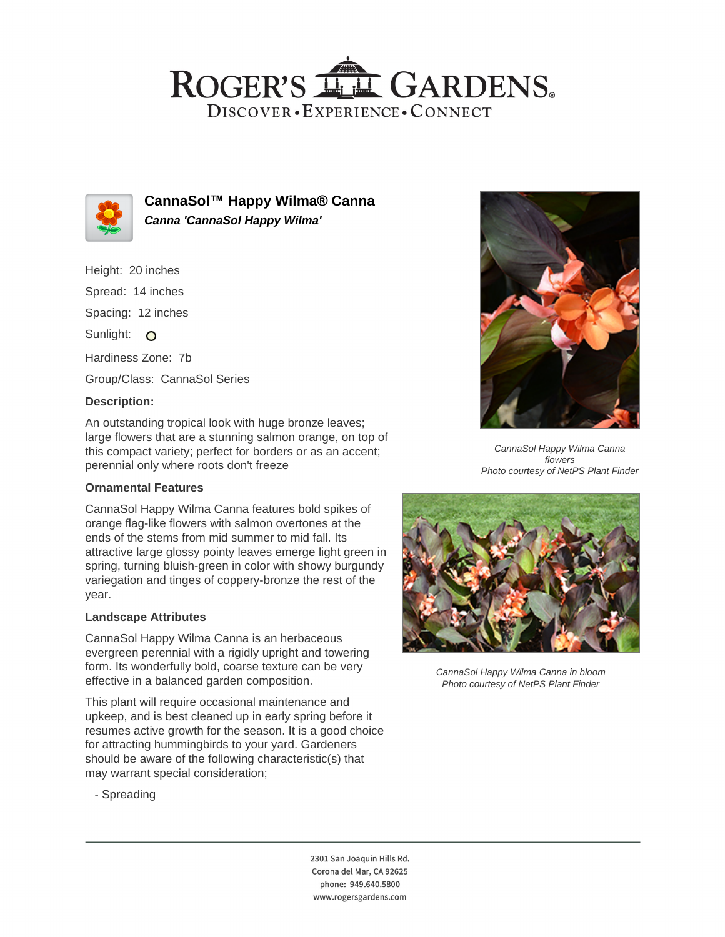## ROGER'S LL GARDENS. DISCOVER · EXPERIENCE · CONNECT



**CannaSol™ Happy Wilma® Canna Canna 'CannaSol Happy Wilma'**

Height: 20 inches Spread: 14 inches Spacing: 12 inches Sunlight: O Hardiness Zone: 7b Group/Class: CannaSol Series

## **Description:**

An outstanding tropical look with huge bronze leaves; large flowers that are a stunning salmon orange, on top of this compact variety; perfect for borders or as an accent; perennial only where roots don't freeze

#### **Ornamental Features**

CannaSol Happy Wilma Canna features bold spikes of orange flag-like flowers with salmon overtones at the ends of the stems from mid summer to mid fall. Its attractive large glossy pointy leaves emerge light green in spring, turning bluish-green in color with showy burgundy variegation and tinges of coppery-bronze the rest of the year.

#### **Landscape Attributes**

CannaSol Happy Wilma Canna is an herbaceous evergreen perennial with a rigidly upright and towering form. Its wonderfully bold, coarse texture can be very effective in a balanced garden composition.

This plant will require occasional maintenance and upkeep, and is best cleaned up in early spring before it resumes active growth for the season. It is a good choice for attracting hummingbirds to your yard. Gardeners should be aware of the following characteristic(s) that may warrant special consideration;



CannaSol Happy Wilma Canna flowers Photo courtesy of NetPS Plant Finder



CannaSol Happy Wilma Canna in bloom Photo courtesy of NetPS Plant Finder

- Spreading

2301 San Joaquin Hills Rd. Corona del Mar, CA 92625 phone: 949.640.5800 www.rogersgardens.com